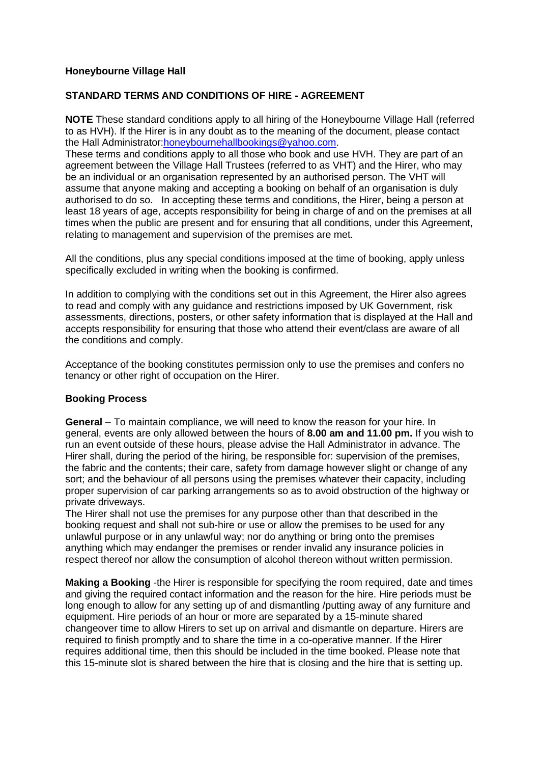### **Honeybourne Village Hall**

## **STANDARD TERMS AND CONDITIONS OF HIRE - AGREEMENT**

**NOTE** These standard conditions apply to all hiring of the Honeybourne Village Hall (referred to as HVH). If the Hirer is in any doubt as to the meaning of the document, please contact the Hall Administrator[:honeybournehallbookings@yahoo.com.](mailto:honeybournehallbookings@yahoo.com)

These terms and conditions apply to all those who book and use HVH. They are part of an agreement between the Village Hall Trustees (referred to as VHT) and the Hirer, who may be an individual or an organisation represented by an authorised person. The VHT will assume that anyone making and accepting a booking on behalf of an organisation is duly authorised to do so. In accepting these terms and conditions, the Hirer, being a person at least 18 years of age, accepts responsibility for being in charge of and on the premises at all times when the public are present and for ensuring that all conditions, under this Agreement, relating to management and supervision of the premises are met.

All the conditions, plus any special conditions imposed at the time of booking, apply unless specifically excluded in writing when the booking is confirmed.

In addition to complying with the conditions set out in this Agreement, the Hirer also agrees to read and comply with any guidance and restrictions imposed by UK Government, risk assessments, directions, posters, or other safety information that is displayed at the Hall and accepts responsibility for ensuring that those who attend their event/class are aware of all the conditions and comply.

Acceptance of the booking constitutes permission only to use the premises and confers no tenancy or other right of occupation on the Hirer.

#### **Booking Process**

**General** – To maintain compliance, we will need to know the reason for your hire. In general, events are only allowed between the hours of **8.00 am and 11.00 pm.** If you wish to run an event outside of these hours, please advise the Hall Administrator in advance. The Hirer shall, during the period of the hiring, be responsible for: supervision of the premises, the fabric and the contents; their care, safety from damage however slight or change of any sort; and the behaviour of all persons using the premises whatever their capacity, including proper supervision of car parking arrangements so as to avoid obstruction of the highway or private driveways.

The Hirer shall not use the premises for any purpose other than that described in the booking request and shall not sub-hire or use or allow the premises to be used for any unlawful purpose or in any unlawful way; nor do anything or bring onto the premises anything which may endanger the premises or render invalid any insurance policies in respect thereof nor allow the consumption of alcohol thereon without written permission.

**Making a Booking** -the Hirer is responsible for specifying the room required, date and times and giving the required contact information and the reason for the hire. Hire periods must be long enough to allow for any setting up of and dismantling /putting away of any furniture and equipment. Hire periods of an hour or more are separated by a 15-minute shared changeover time to allow Hirers to set up on arrival and dismantle on departure. Hirers are required to finish promptly and to share the time in a co-operative manner. If the Hirer requires additional time, then this should be included in the time booked. Please note that this 15-minute slot is shared between the hire that is closing and the hire that is setting up.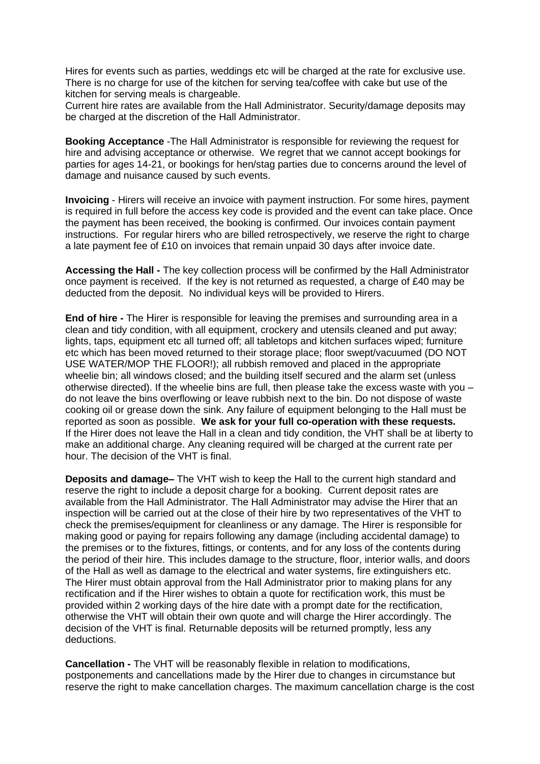Hires for events such as parties, weddings etc will be charged at the rate for exclusive use. There is no charge for use of the kitchen for serving tea/coffee with cake but use of the kitchen for serving meals is chargeable.

Current hire rates are available from the Hall Administrator. Security/damage deposits may be charged at the discretion of the Hall Administrator.

**Booking Acceptance** -The Hall Administrator is responsible for reviewing the request for hire and advising acceptance or otherwise. We regret that we cannot accept bookings for parties for ages 14-21, or bookings for hen/stag parties due to concerns around the level of damage and nuisance caused by such events.

**Invoicing** - Hirers will receive an invoice with payment instruction. For some hires, payment is required in full before the access key code is provided and the event can take place. Once the payment has been received, the booking is confirmed. Our invoices contain payment instructions. For regular hirers who are billed retrospectively, we reserve the right to charge a late payment fee of £10 on invoices that remain unpaid 30 days after invoice date.

**Accessing the Hall -** The key collection process will be confirmed by the Hall Administrator once payment is received. If the key is not returned as requested, a charge of £40 may be deducted from the deposit. No individual keys will be provided to Hirers.

**End of hire -** The Hirer is responsible for leaving the premises and surrounding area in a clean and tidy condition, with all equipment, crockery and utensils cleaned and put away; lights, taps, equipment etc all turned off; all tabletops and kitchen surfaces wiped; furniture etc which has been moved returned to their storage place; floor swept/vacuumed (DO NOT USE WATER/MOP THE FLOOR!); all rubbish removed and placed in the appropriate wheelie bin; all windows closed; and the building itself secured and the alarm set (unless otherwise directed). If the wheelie bins are full, then please take the excess waste with you – do not leave the bins overflowing or leave rubbish next to the bin. Do not dispose of waste cooking oil or grease down the sink. Any failure of equipment belonging to the Hall must be reported as soon as possible. **We ask for your full co-operation with these requests.** If the Hirer does not leave the Hall in a clean and tidy condition, the VHT shall be at liberty to make an additional charge. Any cleaning required will be charged at the current rate per hour. The decision of the VHT is final.

**Deposits and damage–** The VHT wish to keep the Hall to the current high standard and reserve the right to include a deposit charge for a booking. Current deposit rates are available from the Hall Administrator. The Hall Administrator may advise the Hirer that an inspection will be carried out at the close of their hire by two representatives of the VHT to check the premises/equipment for cleanliness or any damage. The Hirer is responsible for making good or paying for repairs following any damage (including accidental damage) to the premises or to the fixtures, fittings, or contents, and for any loss of the contents during the period of their hire. This includes damage to the structure, floor, interior walls, and doors of the Hall as well as damage to the electrical and water systems, fire extinguishers etc. The Hirer must obtain approval from the Hall Administrator prior to making plans for any rectification and if the Hirer wishes to obtain a quote for rectification work, this must be provided within 2 working days of the hire date with a prompt date for the rectification, otherwise the VHT will obtain their own quote and will charge the Hirer accordingly. The decision of the VHT is final. Returnable deposits will be returned promptly, less any deductions.

**Cancellation -** The VHT will be reasonably flexible in relation to modifications, postponements and cancellations made by the Hirer due to changes in circumstance but reserve the right to make cancellation charges. The maximum cancellation charge is the cost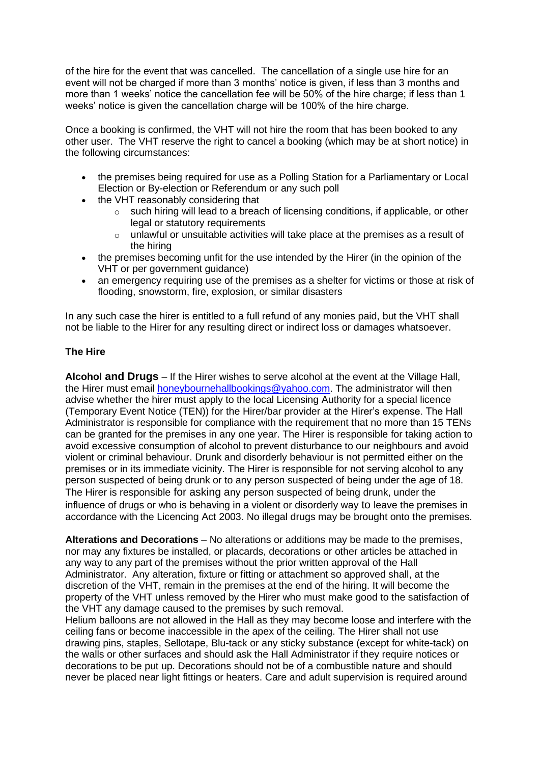of the hire for the event that was cancelled. The cancellation of a single use hire for an event will not be charged if more than 3 months' notice is given, if less than 3 months and more than 1 weeks' notice the cancellation fee will be 50% of the hire charge; if less than 1 weeks' notice is given the cancellation charge will be 100% of the hire charge.

Once a booking is confirmed, the VHT will not hire the room that has been booked to any other user. The VHT reserve the right to cancel a booking (which may be at short notice) in the following circumstances:

- the premises being required for use as a Polling Station for a Parliamentary or Local Election or By-election or Referendum or any such poll
- the VHT reasonably considering that
	- such hiring will lead to a breach of licensing conditions, if applicable, or other legal or statutory requirements
	- $\circ$  unlawful or unsuitable activities will take place at the premises as a result of the hiring
- the premises becoming unfit for the use intended by the Hirer (in the opinion of the VHT or per government guidance)
- an emergency requiring use of the premises as a shelter for victims or those at risk of flooding, snowstorm, fire, explosion, or similar disasters

In any such case the hirer is entitled to a full refund of any monies paid, but the VHT shall not be liable to the Hirer for any resulting direct or indirect loss or damages whatsoever.

# **The Hire**

**Alcohol and Drugs** – If the Hirer wishes to serve alcohol at the event at the Village Hall, the Hirer must email [honeybournehallbookings@yahoo.com.](mailto:honeybournehallbookings@yahoo.com) The administrator will then advise whether the hirer must apply to the local Licensing Authority for a special licence (Temporary Event Notice (TEN)) for the Hirer/bar provider at the Hirer's expense. The Hall Administrator is responsible for compliance with the requirement that no more than 15 TENs can be granted for the premises in any one year. The Hirer is responsible for taking action to avoid excessive consumption of alcohol to prevent disturbance to our neighbours and avoid violent or criminal behaviour. Drunk and disorderly behaviour is not permitted either on the premises or in its immediate vicinity. The Hirer is responsible for not serving alcohol to any person suspected of being drunk or to any person suspected of being under the age of 18. The Hirer is responsible for asking any person suspected of being drunk, under the influence of drugs or who is behaving in a violent or disorderly way to leave the premises in accordance with the Licencing Act 2003. No illegal drugs may be brought onto the premises.

**Alterations and Decorations** – No alterations or additions may be made to the premises, nor may any fixtures be installed, or placards, decorations or other articles be attached in any way to any part of the premises without the prior written approval of the Hall Administrator. Any alteration, fixture or fitting or attachment so approved shall, at the discretion of the VHT, remain in the premises at the end of the hiring. It will become the property of the VHT unless removed by the Hirer who must make good to the satisfaction of the VHT any damage caused to the premises by such removal.

Helium balloons are not allowed in the Hall as they may become loose and interfere with the ceiling fans or become inaccessible in the apex of the ceiling. The Hirer shall not use drawing pins, staples, Sellotape, Blu-tack or any sticky substance (except for white-tack) on the walls or other surfaces and should ask the Hall Administrator if they require notices or decorations to be put up. Decorations should not be of a combustible nature and should never be placed near light fittings or heaters. Care and adult supervision is required around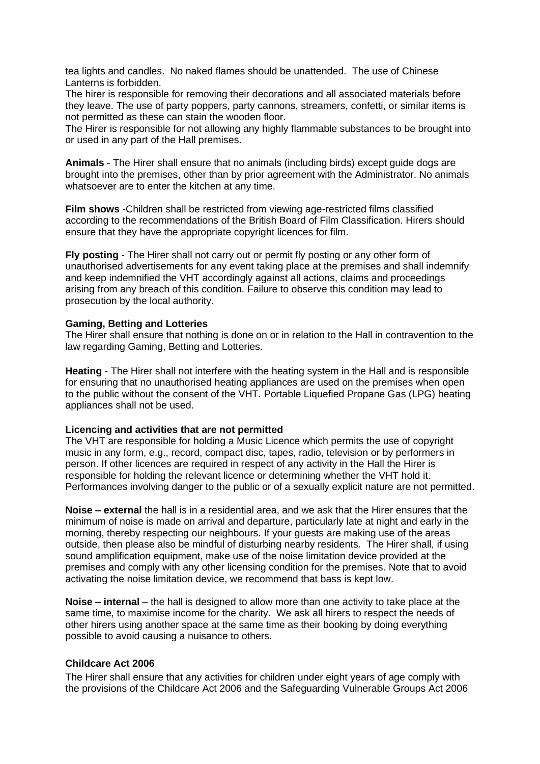tea lights and candles. No naked flames should be unattended. The use of Chinese Lanterns is forbidden.

The hirer is responsible for removing their decorations and all associated materials before they leave. The use of party poppers, party cannons, streamers, confetti, or similar items is not permitted as these can stain the wooden floor.

The Hirer is responsible for not allowing any highly flammable substances to be brought into or used in any part of the Hall premises.

**Animals** - The Hirer shall ensure that no animals (including birds) except guide dogs are brought into the premises, other than by prior agreement with the Administrator. No animals whatsoever are to enter the kitchen at any time.

**Film shows** -Children shall be restricted from viewing age-restricted films classified according to the recommendations of the British Board of Film Classification. Hirers should ensure that they have the appropriate copyright licences for film.

**Fly posting** - The Hirer shall not carry out or permit fly posting or any other form of unauthorised advertisements for any event taking place at the premises and shall indemnify and keep indemnified the VHT accordingly against all actions, claims and proceedings arising from any breach of this condition. Failure to observe this condition may lead to prosecution by the local authority.

#### **Gaming, Betting and Lotteries**

The Hirer shall ensure that nothing is done on or in relation to the Hall in contravention to the law regarding Gaming, Betting and Lotteries.

**Heating** - The Hirer shall not interfere with the heating system in the Hall and is responsible for ensuring that no unauthorised heating appliances are used on the premises when open to the public without the consent of the VHT. Portable Liquefied Propane Gas (LPG) heating appliances shall not be used.

#### **Licencing and activities that are not permitted**

The VHT are responsible for holding a Music Licence which permits the use of copyright music in any form, e.g., record, compact disc, tapes, radio, television or by performers in person. If other licences are required in respect of any activity in the Hall the Hirer is responsible for holding the relevant licence or determining whether the VHT hold it. Performances involving danger to the public or of a sexually explicit nature are not permitted.

**Noise – external** the hall is in a residential area, and we ask that the Hirer ensures that the minimum of noise is made on arrival and departure, particularly late at night and early in the morning, thereby respecting our neighbours. If your guests are making use of the areas outside, then please also be mindful of disturbing nearby residents. The Hirer shall, if using sound amplification equipment, make use of the noise limitation device provided at the premises and comply with any other licensing condition for the premises. Note that to avoid activating the noise limitation device, we recommend that bass is kept low.

**Noise – internal** – the hall is designed to allow more than one activity to take place at the same time, to maximise income for the charity. We ask all hirers to respect the needs of other hirers using another space at the same time as their booking by doing everything possible to avoid causing a nuisance to others.

#### **Childcare Act 2006**

The Hirer shall ensure that any activities for children under eight years of age comply with the provisions of the Childcare Act 2006 and the Safeguarding Vulnerable Groups Act 2006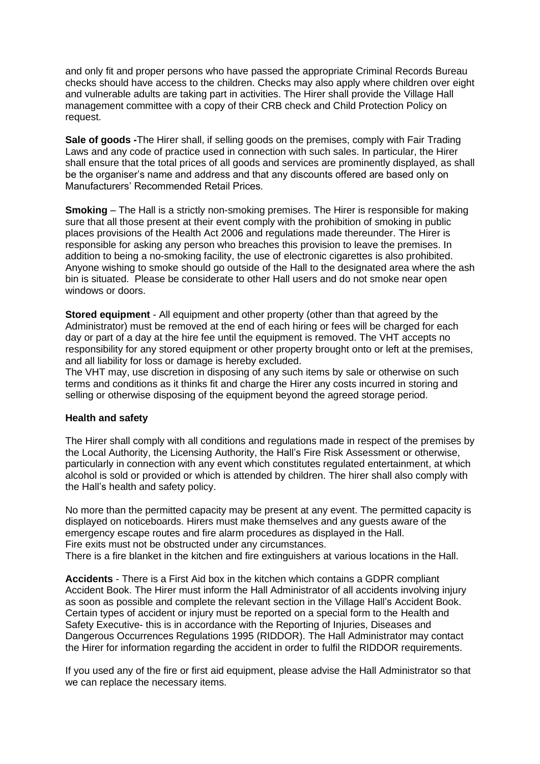and only fit and proper persons who have passed the appropriate Criminal Records Bureau checks should have access to the children. Checks may also apply where children over eight and vulnerable adults are taking part in activities. The Hirer shall provide the Village Hall management committee with a copy of their CRB check and Child Protection Policy on request.

**Sale of goods -**The Hirer shall, if selling goods on the premises, comply with Fair Trading Laws and any code of practice used in connection with such sales. In particular, the Hirer shall ensure that the total prices of all goods and services are prominently displayed, as shall be the organiser's name and address and that any discounts offered are based only on Manufacturers' Recommended Retail Prices.

**Smoking** – The Hall is a strictly non-smoking premises. The Hirer is responsible for making sure that all those present at their event comply with the prohibition of smoking in public places provisions of the Health Act 2006 and regulations made thereunder. The Hirer is responsible for asking any person who breaches this provision to leave the premises. In addition to being a no-smoking facility, the use of electronic cigarettes is also prohibited. Anyone wishing to smoke should go outside of the Hall to the designated area where the ash bin is situated. Please be considerate to other Hall users and do not smoke near open windows or doors.

**Stored equipment** - All equipment and other property (other than that agreed by the Administrator) must be removed at the end of each hiring or fees will be charged for each day or part of a day at the hire fee until the equipment is removed. The VHT accepts no responsibility for any stored equipment or other property brought onto or left at the premises, and all liability for loss or damage is hereby excluded.

The VHT may, use discretion in disposing of any such items by sale or otherwise on such terms and conditions as it thinks fit and charge the Hirer any costs incurred in storing and selling or otherwise disposing of the equipment beyond the agreed storage period.

#### **Health and safety**

The Hirer shall comply with all conditions and regulations made in respect of the premises by the Local Authority, the Licensing Authority, the Hall's Fire Risk Assessment or otherwise, particularly in connection with any event which constitutes regulated entertainment, at which alcohol is sold or provided or which is attended by children. The hirer shall also comply with the Hall's health and safety policy.

No more than the permitted capacity may be present at any event. The permitted capacity is displayed on noticeboards. Hirers must make themselves and any guests aware of the emergency escape routes and fire alarm procedures as displayed in the Hall. Fire exits must not be obstructed under any circumstances.

There is a fire blanket in the kitchen and fire extinguishers at various locations in the Hall.

**Accidents** - There is a First Aid box in the kitchen which contains a GDPR compliant Accident Book. The Hirer must inform the Hall Administrator of all accidents involving injury as soon as possible and complete the relevant section in the Village Hall's Accident Book. Certain types of accident or injury must be reported on a special form to the Health and Safety Executive- this is in accordance with the Reporting of Injuries, Diseases and Dangerous Occurrences Regulations 1995 (RIDDOR). The Hall Administrator may contact the Hirer for information regarding the accident in order to fulfil the RIDDOR requirements.

If you used any of the fire or first aid equipment, please advise the Hall Administrator so that we can replace the necessary items.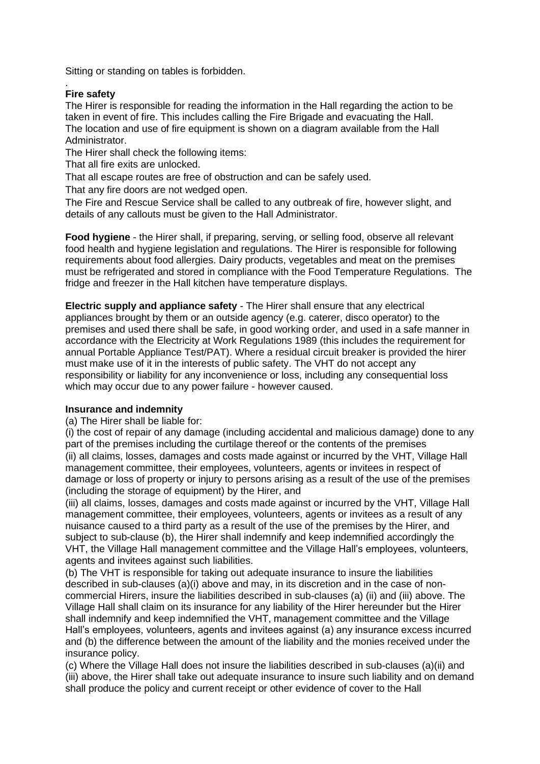Sitting or standing on tables is forbidden.

## **Fire safety**

.

The Hirer is responsible for reading the information in the Hall regarding the action to be taken in event of fire. This includes calling the Fire Brigade and evacuating the Hall. The location and use of fire equipment is shown on a diagram available from the Hall Administrator.

The Hirer shall check the following items:

That all fire exits are unlocked.

That all escape routes are free of obstruction and can be safely used.

That any fire doors are not wedged open.

The Fire and Rescue Service shall be called to any outbreak of fire, however slight, and details of any callouts must be given to the Hall Administrator.

**Food hygiene** - the Hirer shall, if preparing, serving, or selling food, observe all relevant food health and hygiene legislation and regulations. The Hirer is responsible for following requirements about food allergies. Dairy products, vegetables and meat on the premises must be refrigerated and stored in compliance with the Food Temperature Regulations. The fridge and freezer in the Hall kitchen have temperature displays.

**Electric supply and appliance safety** - The Hirer shall ensure that any electrical appliances brought by them or an outside agency (e.g. caterer, disco operator) to the premises and used there shall be safe, in good working order, and used in a safe manner in accordance with the Electricity at Work Regulations 1989 (this includes the requirement for annual Portable Appliance Test/PAT). Where a residual circuit breaker is provided the hirer must make use of it in the interests of public safety. The VHT do not accept any responsibility or liability for any inconvenience or loss, including any consequential loss which may occur due to any power failure - however caused.

#### **Insurance and indemnity**

(a) The Hirer shall be liable for:

(i) the cost of repair of any damage (including accidental and malicious damage) done to any part of the premises including the curtilage thereof or the contents of the premises (ii) all claims, losses, damages and costs made against or incurred by the VHT, Village Hall management committee, their employees, volunteers, agents or invitees in respect of damage or loss of property or injury to persons arising as a result of the use of the premises (including the storage of equipment) by the Hirer, and

(iii) all claims, losses, damages and costs made against or incurred by the VHT, Village Hall management committee, their employees, volunteers, agents or invitees as a result of any nuisance caused to a third party as a result of the use of the premises by the Hirer, and subject to sub-clause (b), the Hirer shall indemnify and keep indemnified accordingly the VHT, the Village Hall management committee and the Village Hall's employees, volunteers, agents and invitees against such liabilities.

(b) The VHT is responsible for taking out adequate insurance to insure the liabilities described in sub-clauses (a)(i) above and may, in its discretion and in the case of noncommercial Hirers, insure the liabilities described in sub-clauses (a) (ii) and (iii) above. The Village Hall shall claim on its insurance for any liability of the Hirer hereunder but the Hirer shall indemnify and keep indemnified the VHT, management committee and the Village Hall's employees, volunteers, agents and invitees against (a) any insurance excess incurred and (b) the difference between the amount of the liability and the monies received under the insurance policy.

(c) Where the Village Hall does not insure the liabilities described in sub-clauses (a)(ii) and (iii) above, the Hirer shall take out adequate insurance to insure such liability and on demand shall produce the policy and current receipt or other evidence of cover to the Hall